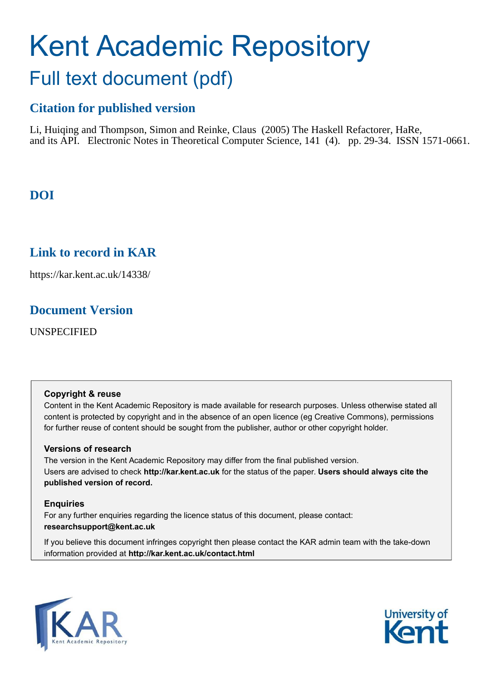# <span id="page-0-0"></span>Kent Academic Repository Full text document (pdf)

## **Citation for published version**

Li, Huiqing and Thompson, Simon and Reinke, Claus (2005) The Haskell Refactorer, HaRe, and its API. Electronic Notes in Theoretical Computer Science, 141 (4). pp. 29-34. ISSN 1571-0661.

## **DOI**

## **Link to record in KAR**

https://kar.kent.ac.uk/14338/

## **Document Version**

UNSPECIFIED

#### **Copyright & reuse**

Content in the Kent Academic Repository is made available for research purposes. Unless otherwise stated all content is protected by copyright and in the absence of an open licence (eg Creative Commons), permissions for further reuse of content should be sought from the publisher, author or other copyright holder.

## **Versions of research**

The version in the Kent Academic Repository may differ from the final published version. Users are advised to check **http://kar.kent.ac.uk** for the status of the paper. **Users should always cite the published version of record.**

## **Enquiries**

For any further enquiries regarding the licence status of this document, please contact: **researchsupport@kent.ac.uk**

If you believe this document infringes copyright then please contact the KAR admin team with the take-down information provided at **http://kar.kent.ac.uk/contact.html**



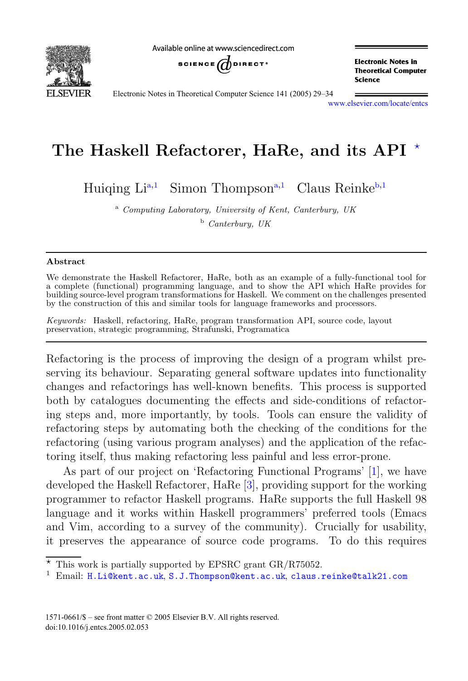<span id="page-1-0"></span>

Available online at www.sciencedirect.com



Electronic Notes in Theoretical Computer Science 141 (2005) 29–34

**Electronic Notes in Theoretical Computer Science** 

[www.elsevier.com/locate/entcs](http://www.elsevier.com/locate/entcs)

## The Haskell Refactorer, HaRe, and its API  $^{\star}$

Huiging  $Li^{a,1}$  $Li^{a,1}$  $Li^{a,1}$  $Li^{a,1}$  $Li^{a,1}$  Simon Thompson<sup>a,1</sup> Claus Reinke<sup>[b](#page-0-0),1</sup>

<sup>a</sup> Computing Laboratory, University of Kent, Canterbury, UK  $b$  Canterbury, UK

#### Abstract

We demonstrate the Haskell Refactorer, HaRe, both as an example of a fully-functional tool for a complete (functional) programming language, and to show the API which HaRe provides for building source-level program transformations for Haskell. We comment on the challenges presented by the construction of this and similar tools for language frameworks and processors.

Keywords: Haskell, refactoring, HaRe, program transformation API, source code, layout preservation, strategic programming, Strafunski, Programatica

Refactoring is the process of improving the design of a program whilst preserving its behaviour. Separating general software updates into functionality changes and refactorings has well-known benefits. This process is supported both by catalogues documenting the effects and side-conditions of refactoring steps and, more importantly, by tools. Tools can ensure the validity of refactoring steps by automating both the checking of the conditions for the refactoring (using various program analyses) and the application of the refactoring itself, thus making refactoring less painful and less error-prone.

As part of our project on 'Refactoring Functional Programs' [\[1\]](#page-5-0), we have developed the Haskell Refactorer, HaRe [\[3\]](#page-5-0), providing support for the working programmer to refactor Haskell programs. HaRe supports the full Haskell 98 language and it works within Haskell programmers' preferred tools (Emacs and Vim, according to a survey of the community). Crucially for usability, it preserves the appearance of source code programs. To do this requires

 $\star$  This work is partially supported by EPSRC grant GR/R75052.

<sup>&</sup>lt;sup>1</sup> Email: [H.Li@kent.ac.uk](mailto:H.Li@kent.ac.uk), [S.J.Thompson@kent.ac.uk](mailto:S.J.Thompson@kent.ac.uk), [claus.reinke@talk21.com](mailto:claus.reinke@talk21.com)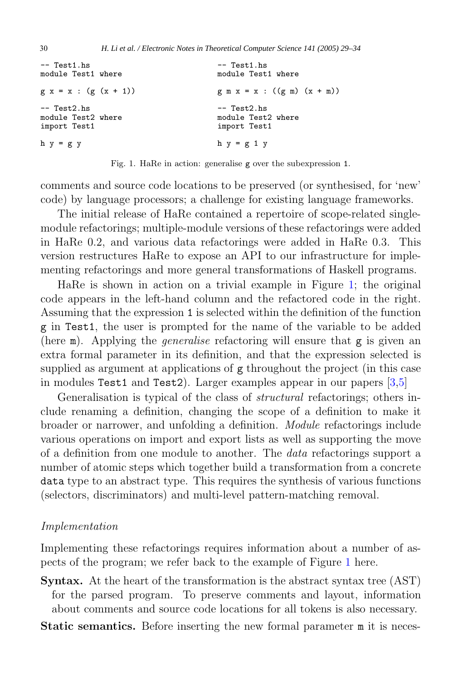```
-- Test1.hs -- Test1.hs
module Test1 where
g x = x : (g (x + 1)) g m x = x : ((g m) (x + m))-- Test2.hs -- Test2.hs
module Test2 where module Test2 where<br>import Test1 module module Test1
                           import Test1
h y = g y h y = g 1 y
```
Fig. 1. HaRe in action: generalise g over the subexpression 1.

comments and source code locations to be preserved (or synthesised, for 'new' code) by language processors; a challenge for existing language frameworks.

The initial release of HaRe contained a repertoire of scope-related singlemodule refactorings; multiple-module versions of these refactorings were added in HaRe 0.2, and various data refactorings were added in HaRe 0.3. This version restructures HaRe to expose an API to our infrastructure for implementing refactorings and more general transformations of Haskell programs.

HaRe is shown in action on a trivial example in Figure [1;](#page-1-0) the original code appears in the left-hand column and the refactored code in the right. Assuming that the expression 1 is selected within the definition of the function g in Test1, the user is prompted for the name of the variable to be added (here  $m$ ). Applying the *generalise* refactoring will ensure that  $g$  is given an extra formal parameter in its definition, and that the expression selected is supplied as argument at applications of g throughout the project (in this case in modules Test1 and Test2). Larger examples appear in our papers  $[3,5]$ 

Generalisation is typical of the class of structural refactorings; others include renaming a definition, changing the scope of a definition to make it broader or narrower, and unfolding a definition. Module refactorings include various operations on import and export lists as well as supporting the move of a definition from one module to another. The data refactorings support a number of atomic steps which together build a transformation from a concrete data type to an abstract type. This requires the synthesis of various functions (selectors, discriminators) and multi-level pattern-matching removal.

#### Implementation

Implementing these refactorings requires information about a number of aspects of the program; we refer back to the example of Figure [1](#page-1-0) here.

- Syntax. At the heart of the transformation is the abstract syntax tree (AST) for the parsed program. To preserve comments and layout, information about comments and source code locations for all tokens is also necessary.
- Static semantics. Before inserting the new formal parameter  $m$  it is neces-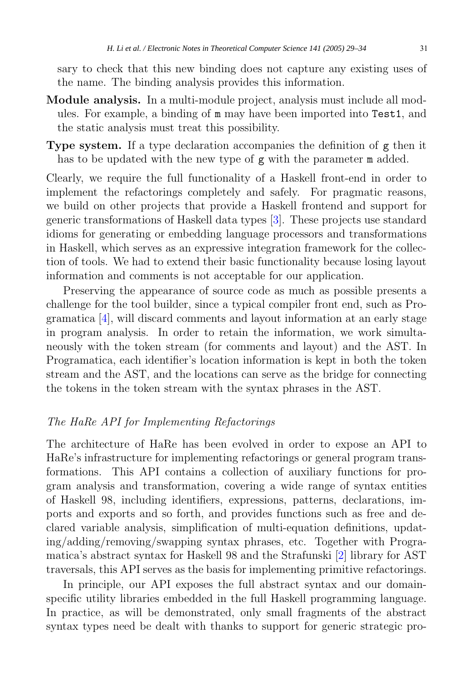<span id="page-3-0"></span>sary to check that this new binding does not capture any existing uses of the name. The binding analysis provides this information.

- Module analysis. In a multi-module project, analysis must include all modules. For example, a binding of m may have been imported into Test1, and the static analysis must treat this possibility.
- Type system. If a type declaration accompanies the definition of g then it has to be updated with the new type of g with the parameter m added.

Clearly, we require the full functionality of a Haskell front-end in order to implement the refactorings completely and safely. For pragmatic reasons, we build on other projects that provide a Haskell frontend and support for generic transformations of Haskell data types [\[3\]](#page-5-0). These projects use standard idioms for generating or embedding language processors and transformations in Haskell, which serves as an expressive integration framework for the collection of tools. We had to extend their basic functionality because losing layout information and comments is not acceptable for our application.

Preserving the appearance of source code as much as possible presents a challenge for the tool builder, since a typical compiler front end, such as Programatica [\[4\]](#page-5-0), will discard comments and layout information at an early stage in program analysis. In order to retain the information, we work simultaneously with the token stream (for comments and layout) and the AST. In Programatica, each identifier's location information is kept in both the token stream and the AST, and the locations can serve as the bridge for connecting the tokens in the token stream with the syntax phrases in the AST.

#### The HaRe API for Implementing Refactorings

The architecture of HaRe has been evolved in order to expose an API to HaRe's infrastructure for implementing refactorings or general program transformations. This API contains a collection of auxiliary functions for program analysis and transformation, covering a wide range of syntax entities of Haskell 98, including identifiers, expressions, patterns, declarations, imports and exports and so forth, and provides functions such as free and declared variable analysis, simplification of multi-equation definitions, updating/adding/removing/swapping syntax phrases, etc. Together with Programatica's abstract syntax for Haskell 98 and the Strafunski [\[2\]](#page-5-0) library for AST traversals, this API serves as the basis for implementing primitive refactorings.

In principle, our API exposes the full abstract syntax and our domainspecific utility libraries embedded in the full Haskell programming language. In practice, as will be demonstrated, only small fragments of the abstract syntax types need be dealt with thanks to support for generic strategic pro-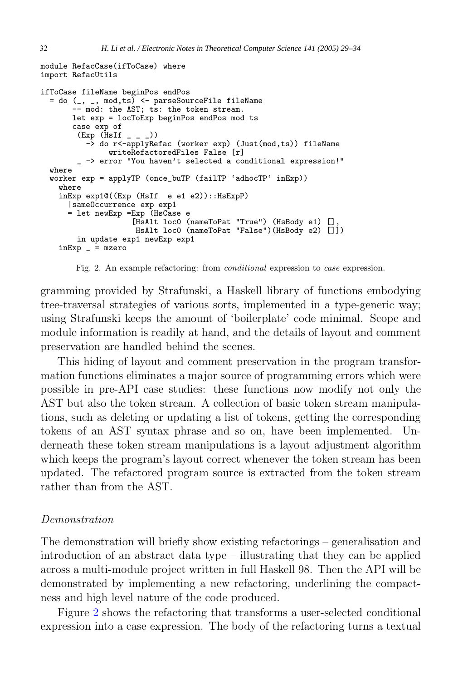```
module RefacCase(ifToCase) where
import RefacUtils
ifToCase fileName beginPos endPos
 = do \left(\frac{1}{2}, \frac{1}{2}, \mod, ts\right) \leq parseSourceFile fileName
          mod: the AST; ts: the token stream.
       let exp = locToExp beginPos endPos mod ts
       case exp of
         (\text{Exp (HsIf } _{\_} \_ \_ ))-> do r<-applyRefac (worker exp) (Just(mod,ts)) fileName
                writeRefactoredFiles False [r]
        _ -> error "You haven't selected a conditional expression!"
  where
  worker exp = applyTP (once_buTP (failTP 'adhocTP' inExp))
    where
    inExp exp1@((Exp (HsIf e e1 e2))::HsExpP)
      |sameOccurrence exp exp1
      = let newExp =Exp (HsCase e
                      [HsAlt loc0 (nameToPat "True") (HsBody e1) [],
                      HsAlt loc0 (nameToPat "False")(HsBody e2) []])
        in update exp1 newExp exp1
    inExp = maxero
```
Fig. 2. An example refactoring: from conditional expression to case expression.

gramming provided by Strafunski, a Haskell library of functions embodying tree-traversal strategies of various sorts, implemented in a type-generic way; using Strafunski keeps the amount of 'boilerplate' code minimal. Scope and module information is readily at hand, and the details of layout and comment preservation are handled behind the scenes.

This hiding of layout and comment preservation in the program transformation functions eliminates a major source of programming errors which were possible in pre-API case studies: these functions now modify not only the AST but also the token stream. A collection of basic token stream manipulations, such as deleting or updating a list of tokens, getting the corresponding tokens of an AST syntax phrase and so on, have been implemented. Underneath these token stream manipulations is a layout adjustment algorithm which keeps the program's layout correct whenever the token stream has been updated. The refactored program source is extracted from the token stream rather than from the AST.

#### Demonstration

The demonstration will briefly show existing refactorings – generalisation and introduction of an abstract data type – illustrating that they can be applied across a multi-module project written in full Haskell 98. Then the API will be demonstrated by implementing a new refactoring, underlining the compactness and high level nature of the code produced.

Figure [2](#page-3-0) shows the refactoring that transforms a user-selected conditional expression into a case expression. The body of the refactoring turns a textual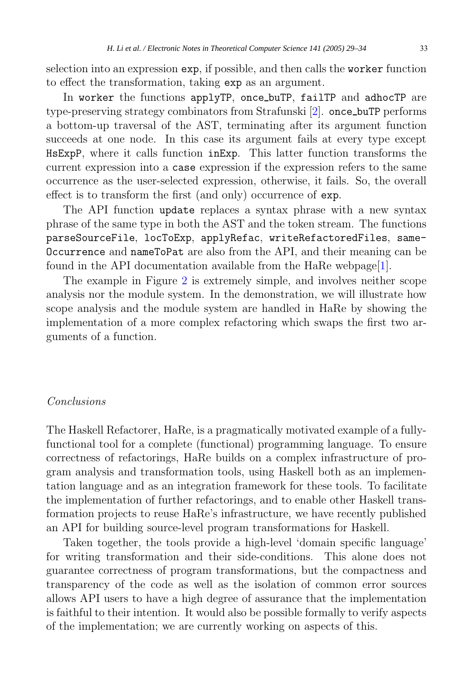<span id="page-5-0"></span>selection into an expression exp, if possible, and then calls the worker function to effect the transformation, taking exp as an argument.

In worker the functions applyTP, once buTP, failTP and adhocTP are type-preserving strategy combinators from Strafunski [2]. once buTP performs a bottom-up traversal of the AST, terminating after its argument function succeeds at one node. In this case its argument fails at every type except HsExpP, where it calls function inExp. This latter function transforms the current expression into a case expression if the expression refers to the same occurrence as the user-selected expression, otherwise, it fails. So, the overall effect is to transform the first (and only) occurrence of exp.

The API function update replaces a syntax phrase with a new syntax phrase of the same type in both the AST and the token stream. The functions parseSourceFile, locToExp, applyRefac, writeRefactoredFiles, same-Occurrence and nameToPat are also from the API, and their meaning can be found in the API documentation available from the HaRe webpage[1].

The example in Figure [2](#page-3-0) is extremely simple, and involves neither scope analysis nor the module system. In the demonstration, we will illustrate how scope analysis and the module system are handled in HaRe by showing the implementation of a more complex refactoring which swaps the first two arguments of a function.

#### Conclusions

The Haskell Refactorer, HaRe, is a pragmatically motivated example of a fullyfunctional tool for a complete (functional) programming language. To ensure correctness of refactorings, HaRe builds on a complex infrastructure of program analysis and transformation tools, using Haskell both as an implementation language and as an integration framework for these tools. To facilitate the implementation of further refactorings, and to enable other Haskell transformation projects to reuse HaRe's infrastructure, we have recently published an API for building source-level program transformations for Haskell.

Taken together, the tools provide a high-level 'domain specific language' for writing transformation and their side-conditions. This alone does not guarantee correctness of program transformations, but the compactness and transparency of the code as well as the isolation of common error sources allows API users to have a high degree of assurance that the implementation is faithful to their intention. It would also be possible formally to verify aspects of the implementation; we are currently working on aspects of this.